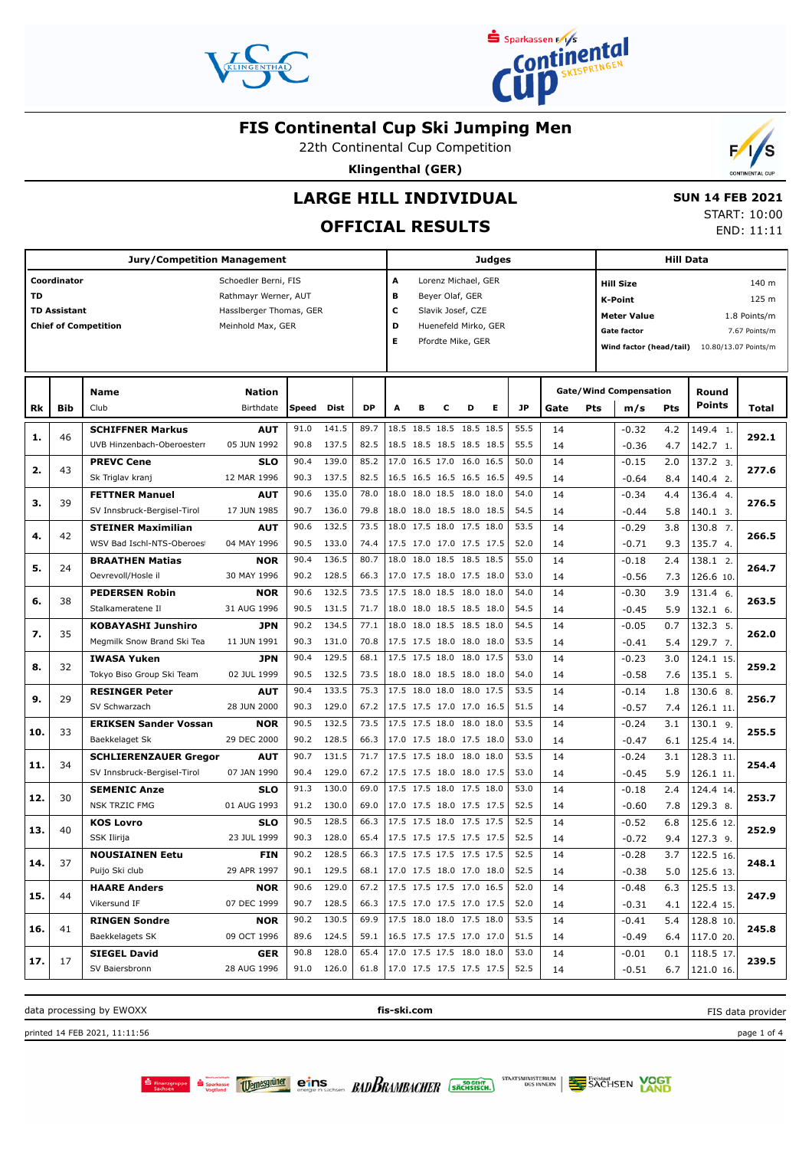



22th Continental Cup Competition

**Klingenthal (GER)**



## **OFFICIAL RESULTS**

**Jury/Competition Management Coordinator** Schoedler Berni, FIS **TD** Rathmayr Werner, AUT **TD Assistant Hassiberger Thomas, GER Chief of Competition** Meinhold Max, GER **Judges A** Lorenz Michael, GER **B** Beyer Olaf, GER **C** Slavik Josef, CZE **D** Huenefeld Mirko, GER **E** Pfordte Mike, GER **Hill Data K-Point** 125 m **Hill Size** 140 m **Meter Value** 1.8 Points/m Gate factor **6** 7.67 Points/m **Wind factor (head/tail)** 10.80/13.07 Points/m **Bib Name** Club **Birthdate Nation Rk Speed Dist DP A B C D E JP Total Round m/s Pts Points Gate/Wind Compensation Gate Pts SCHIFFNER Markus** UVB Hinzenbach-Oberoesterr **AUT** 05 JUN 1992 46 91.0 141.5 | 89.7 |18.5 18.5 18.5 18.5 18.5 | 55.5 | 14 $\qquad \qquad$  -0.32 4.2 |149.4 90.8 137.5 82.5 18.5 18.5 18.5 18.5 18.5 55.5 14 1. **1. 292.1**  $4.2$  4.7 -0.32 -0.36 14 14 **PREVC Cene** Sk Triglav kranj **SLO** 12 MAR 1996 43 90.4 139.0 85.2 17.0 16.5 17.0 16.0 16.5 50.0 90.3 137.5 82.5 16.5 16.5 16.5 16.5 16.5  $|49.5|$  14  $|$  -0.64 8.4 140.4 2.  $13723$ **2. 277.6** 2.0 8.4  $-0.15$ -0.64  $14$  14 **FETTNER Manuel** SV Innsbruck-Bergisel-Tirol **AUT** 17 JUN 1985 39 90.6 135.0 78.0 18.0 18.0 18.5 18.0 18.0 54.0 90.7  $136.0$  79.8 18.0 18.0 18.5 18.0 18.5 54.5 144  $-0.44$  5.8 140.1 3.  $136.44$ **3. 276.5** 4.4 5.8  $-0.34$  $-0.44$  14 14 **STEINER Maximilian** WSV Bad Ischl-NTS-Oberoest **AUT** 04 MAY 1996 42 90.6 132.5 73.5 18.0 17.5 18.0 17.5 18.0 53.5 14  $-0.29$  3.8 130.8 90.5 133.0 74.4 17.5 17.0 17.0 17.5 17.5 52.0 14  $-0.71$  9.3 135.7 4. 7. **4. 266.5** 3.8 9.3  $-0.29$ -0.71 14 14 **BRAATHEN Matias** Oevrevoll/Hosle il **NOR** 30 MAY 1996  $24$ 90.4 136.5 | 80.7 | 18.0 18.0 18.5 18.5 18.5 | 55.0 | 14 | -0.18 2.4 | 138.1 90.2 128.5 66.3 17.0 17.5 18.0 17.5 18.0 53.0 14 -0.56 7.3 126.6 10  $138.1$  2. **5. 264.7** 2.4 7.3  $-0.18$ -0.56  $\overline{14}$  14 **PEDERSEN Robin** Stalkameratene Il **NOR** 31 AUG 1996 38 90.6 132.5 73.5 17.5 18.0 18.5 18.0 18.0 54.0 90.5 131.5 71.7 18.0 18.0 18.5 18.5 18.0 54.5 14  $-0.45$  5.9 132.1 6.  $131.4$  6. **6. 263.5** 3.9 5.9  $-0.30$  $-0.45$  14 14 **KOBAYASHI Junshiro** Megmilk Snow Brand Ski Tea **JPN** 11 JUN 1991 35 90.2 134.5 | 77.1 |18.0 18.0 18.5 18.5 18.0 | 54.5 | 14 | -0.05 0.7 |132.3 90.3 131.0 70.8 17.5 17.5 18.0 18.0 18.0 53.5 14  $\sqrt{2}$  -0.41 5.4 129.7 7 5. **7. 262.0**  $\overline{0.7}$  5.4  $-0.05$  $-0.41$  14 14 **IWASA Yuken** Tokyo Biso Group Ski Team **JPN** 02 JUL 1999 32 90.4 129.5 68.1 17.5 17.5 18.0 18.0 17.5 53.0 14 -0.23 3.0 124.1 90.5 132.5 73.5 18.0 18.0 18.5 18.0 18.0 54.0 14  $-0.58$  7.6 135.1 5. 15. **8. 259.2** 3.0 7.6  $-0.23$ -0.58 14 14 **RESINGER Peter** SV Schwarzach **AUT 28 JUN 2000**  $20$ 90.4 133.5 75.3 17.5 18.0 18.0 18.0 17.5 53.5 90.3 129.0 67.2 17.5 17.5 17.0 17.0 16.5 51.5 14  $-0.57$  7.4 126.1 11.  $1306R$ **9. 256.7**  $\overline{18}$  7.4  $-0.14$ -0.57 14 14 **ERIKSEN Sander Vossan** Baekkelaget Sk **NOR** 29 DEC 2000 33 90.5 132.5 73.5 17.5 17.5 18.0 18.0 18.0 53.5 90.2 128.5 66.3 17.0 17.5 18.0 17.5 18.0 53.0 14 -0.47 6.1 125.4 14  $130.19$ **10. 255.5**  $3.1$  6.1  $-0.24$ -0.47 14 14 **SCHLIERENZAUER Gregor** SV Innsbruck-Bergisel-Tirol **AUT** 07 JAN 1990 34 90.7 131.5 71.7 17.5 17.5 18.0 18.0 18.0 53.5 90.4 129.0 67.2 17.5 17.5 18.0 18.0 17.5 53.0 14  $\vert$  -0.45 5.9 126.1 11  $128.311$ **11. 254.4**  $\overline{3.1}$  5.9  $-0.24$  $-0.45$  14 14 **SEMENIC Anze** NSK TRZIC FMG **SLO** 01 AUG 1993 30 91.3 130.0 69.0 17.5 17.5 18.0 17.5 18.0 53.0 91.2 130.0 69.0 17.0 17.5 18.0 17.5 17.5 52.5 14  $-0.60$  7.8 129.3 8  $124.4$   $14$ **12. 253.7**  $\overline{24}$  7.8  $-0.18$ -0.60 14 14 **KOS Lovro** SSK Ilirija **SLO** 23 JUL 1999 40 90.5 128.5 66.3 17.5 17.5 18.0 17.5 17.5 52.5 90.3 128.0 65.4 17.5 17.5 17.5 17.5 17.5 52.5 14 0.72 9.4 127.3 9 125.6 12 **13. 252.9** 6.8 9.4 -0.52 -0.72 14 14 **NOUSIAINEN Eetu** Puijo Ski club **FIN** 29 APR 1997 37 90.2 128.5 | 66.3 |17.5 17.5 17.5 17.5 17.5 | 52.5 | 14 | -0.28 3.7 |122.5 90.1 129.5 68.1 17.0 17.5 18.0 17.0 18.0 52.5 125.6 13. 122.5 16 **14. 248.1** 3.7 5.0  $-0.28$ -0.38 14 14 **HAARE Anders** Vikersund IF **NOR** 07 DEC 1999 44 90.6 129.0 67.2 17.5 17.5 17.5 17.0 16.5 52.0 90.7 128.5 66.3 17.5 17.0 17.5 17.0 17.5 52.0 14  $-0.31$  4.1 122.4 15  $125.513$ **15. 247.9** 6.3 4.1  $-0.48$ -0.31 14 14 **RINGEN Sondre** Baekkelagets SK **NOR** 09 OCT 1996 41 90.2 130.5 | 69.9 |17.5 18.0 18.0 17.5 18.0 | 53.5 | 14 | -0.41 5.4 |128.8 89.6 124.5 59.1 16.5 17.5 17.5 17.0 17.0 51.5 14  $\sqrt{3}$  0.49 64 117.0 20. 128.8 10 **16. 245.8** 5.4 6.4  $-0.41$ -0.49 14 14 **SIEGEL David** SV Baiersbronn **GER** 28 AUG 1996 17 90.8 128.0 65.4 17.0 17.5 17.5 18.0 18.0 53.0 91.0 126.0 61.8 17.0 17.5 17.5 17.5 17.5 52.5 14  $-0.51$  6.7 121.0 16  $118.5$  17 **17. 239.5**  $0.1$  6.7  $-0.01$ -0.51  $\overline{14}$ 14

data processing by EWOXX **fis-ski.com**

BADBRAMBACHER SACHSISCH.

printed 14 FEB 2021, 11:11:56 page 1 of 4

FIS data provider



 $F/s$ 

STAATSMINISTERIUM DES INNERN

**SACHSEN VOGT** 

Sechsen Sparkasse Wernesgründ eins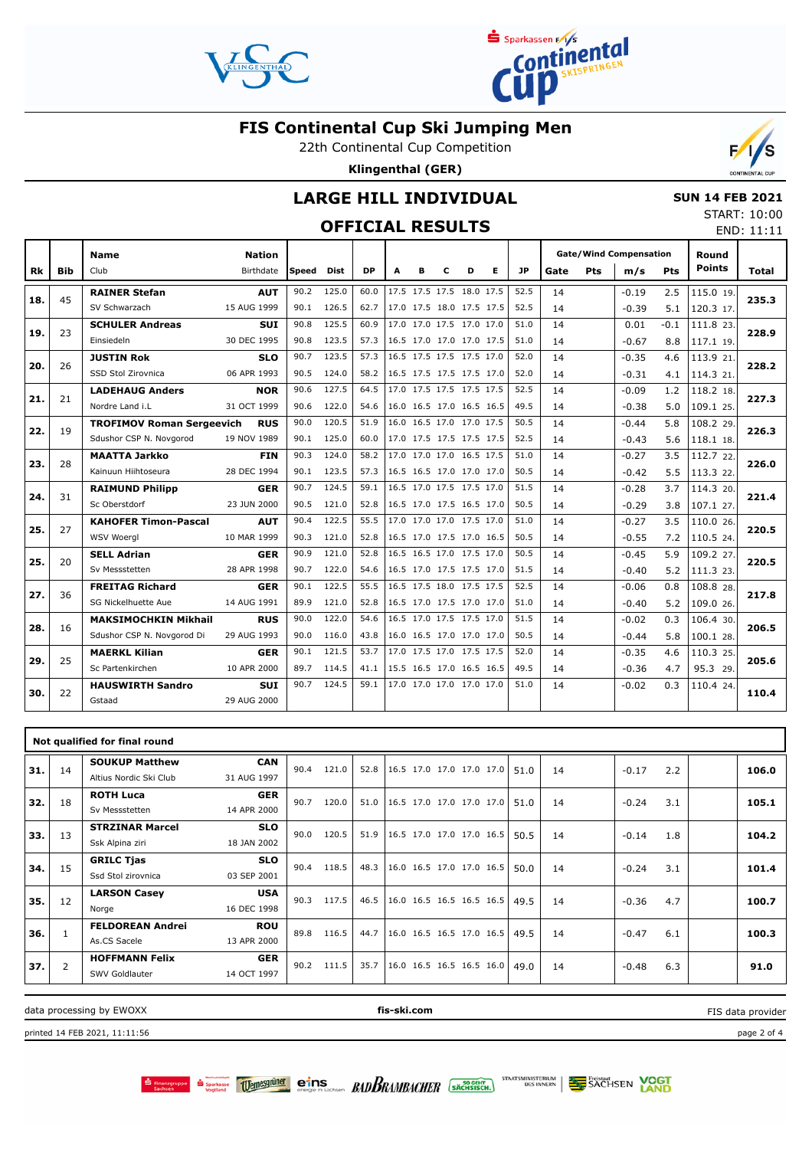



22th Continental Cup Competition

**Klingenthal (GER)**

## **LARGE HILL INDIVIDUAL**

#### **SUN 14 FEB 2021**

**OFFICIAL RESULTS**

| START: 10:00 |            |
|--------------|------------|
|              | END: 11:11 |

 $\mathcal{V}$ 

'S

|     |            | <b>Name</b>                      | <b>Nation</b> |              |       |      |   |                          |   |   |                          |      |      |            | <b>Gate/Wind Compensation</b> |            | Round         |       |
|-----|------------|----------------------------------|---------------|--------------|-------|------|---|--------------------------|---|---|--------------------------|------|------|------------|-------------------------------|------------|---------------|-------|
| Rk  | <b>Bib</b> | Club                             | Birthdate     | <b>Speed</b> | Dist  | DP   | A | в                        | c | D | Е                        | JP   | Gate | <b>Pts</b> | m/s                           | <b>Pts</b> | <b>Points</b> | Total |
|     |            | <b>RAINER Stefan</b>             | <b>AUT</b>    | 90.2         | 125.0 | 60.0 |   |                          |   |   | 17.5 17.5 17.5 18.0 17.5 | 52.5 | 14   |            | $-0.19$                       | 2.5        | 115.0 19.     |       |
| 18. | 45         | SV Schwarzach                    | 15 AUG 1999   | 90.1         | 126.5 | 62.7 |   | 17.0 17.5 18.0 17.5 17.5 |   |   |                          | 52.5 | 14   |            | $-0.39$                       | 5.1        | 120.3 17.     | 235.3 |
|     |            | <b>SCHULER Andreas</b>           | <b>SUI</b>    | 90.8         | 125.5 | 60.9 |   | 17.0 17.0 17.5 17.0 17.0 |   |   |                          | 51.0 | 14   |            | 0.01                          | $-0.1$     | 111.8 23.     |       |
| 19. | 23         | Einsiedeln                       | 30 DEC 1995   | 90.8         | 123.5 | 57.3 |   | 16.5 17.0 17.0 17.0 17.5 |   |   |                          | 51.0 | 14   |            | $-0.67$                       | 8.8        | 117.1 19.     | 228.9 |
|     |            | <b>JUSTIN Rok</b>                | <b>SLO</b>    | 90.7         | 123.5 | 57.3 |   | 16.5 17.5 17.5 17.5 17.0 |   |   |                          | 52.0 | 14   |            | $-0.35$                       | 4.6        | 113.9 21.     |       |
| 20. | 26         | SSD Stol Zirovnica               | 06 APR 1993   | 90.5         | 124.0 | 58.2 |   | 16.5 17.5 17.5 17.5 17.0 |   |   |                          | 52.0 | 14   |            | $-0.31$                       | 4.1        | 114.3 21.     | 228.2 |
|     |            | <b>LADEHAUG Anders</b>           | <b>NOR</b>    | 90.6         | 127.5 | 64.5 |   | 17.0 17.5 17.5 17.5 17.5 |   |   |                          | 52.5 | 14   |            | $-0.09$                       | 1.2        | 118.2 18.     |       |
| 21. | 21         | Nordre Land i.L                  | 31 OCT 1999   | 90.6         | 122.0 | 54.6 |   | 16.0 16.5 17.0 16.5 16.5 |   |   |                          | 49.5 | 14   |            | $-0.38$                       | 5.0        | 109.1 25.     | 227.3 |
|     |            | <b>TROFIMOV Roman Sergeevich</b> | <b>RUS</b>    | 90.0         | 120.5 | 51.9 |   | 16.0 16.5 17.0 17.0 17.5 |   |   |                          | 50.5 | 14   |            | $-0.44$                       | 5.8        | 108.2 29.     | 226.3 |
| 22. | 19         | Sdushor CSP N. Novgorod          | 19 NOV 1989   | 90.1         | 125.0 | 60.0 |   | 17.0 17.5 17.5 17.5 17.5 |   |   |                          | 52.5 | 14   |            | $-0.43$                       | 5.6        | 118.1 18.     |       |
|     |            | <b>MAATTA Jarkko</b>             | <b>FIN</b>    | 90.3         | 124.0 | 58.2 |   | 17.0 17.0 17.0 16.5 17.5 |   |   |                          | 51.0 | 14   |            | $-0.27$                       | 3.5        | 112.7 22.     |       |
| 23. | 28         | Kainuun Hiihtoseura              | 28 DEC 1994   | 90.1         | 123.5 | 57.3 |   | 16.5 16.5 17.0 17.0 17.0 |   |   |                          | 50.5 | 14   |            | $-0.42$                       | 5.5        | 113.3 22.     | 226.0 |
|     | 31         | <b>RAIMUND Philipp</b>           | <b>GER</b>    | 90.7         | 124.5 | 59.1 |   | 16.5 17.0 17.5 17.5 17.0 |   |   |                          | 51.5 | 14   |            | $-0.28$                       | 3.7        | 114.3 20.     | 221.4 |
| 24. |            | Sc Oberstdorf                    | 23 JUN 2000   | 90.5         | 121.0 | 52.8 |   | 16.5 17.0 17.5 16.5 17.0 |   |   |                          | 50.5 | 14   |            | $-0.29$                       | 3.8        | 107.1 27.     |       |
| 25. | 27         | <b>KAHOFER Timon-Pascal</b>      | <b>AUT</b>    | 90.4         | 122.5 | 55.5 |   | 17.0 17.0 17.0 17.5 17.0 |   |   |                          | 51.0 | 14   |            | $-0.27$                       | 3.5        | 110.0 26.     | 220.5 |
|     |            | <b>WSV Woergl</b>                | 10 MAR 1999   | 90.3         | 121.0 | 52.8 |   | 16.5 17.0 17.5 17.0 16.5 |   |   |                          | 50.5 | 14   |            | $-0.55$                       | 7.2        | 110.5 24.     |       |
| 25. | 20         | <b>SELL Adrian</b>               | <b>GER</b>    | 90.9         | 121.0 | 52.8 |   | 16.5 16.5 17.0 17.5 17.0 |   |   |                          | 50.5 | 14   |            | $-0.45$                       | 5.9        | 109.2 27.     | 220.5 |
|     |            | Sv Messstetten                   | 28 APR 1998   | 90.7         | 122.0 | 54.6 |   | 16.5 17.0 17.5 17.5 17.0 |   |   |                          | 51.5 | 14   |            | $-0.40$                       | 5.2        | 111.3 23.     |       |
| 27. | 36         | <b>FREITAG Richard</b>           | <b>GER</b>    | 90.1         | 122.5 | 55.5 |   | 16.5 17.5 18.0 17.5 17.5 |   |   |                          | 52.5 | 14   |            | $-0.06$                       | 0.8        | 108.8 28.     | 217.8 |
|     |            | SG Nickelhuette Aue              | 14 AUG 1991   | 89.9         | 121.0 | 52.8 |   | 16.5 17.0 17.5 17.0 17.0 |   |   |                          | 51.0 | 14   |            | $-0.40$                       | 5.2        | 109.0 26.     |       |
| 28. | 16         | <b>MAKSIMOCHKIN Mikhail</b>      | <b>RUS</b>    | 90.0         | 122.0 | 54.6 |   | 16.5 17.0 17.5 17.5 17.0 |   |   |                          | 51.5 | 14   |            | $-0.02$                       | 0.3        | 106.4 30.     | 206.5 |
|     |            | Sdushor CSP N. Novgorod Di       | 29 AUG 1993   | 90.0         | 116.0 | 43.8 |   | 16.0 16.5 17.0 17.0 17.0 |   |   |                          | 50.5 | 14   |            | $-0.44$                       | 5.8        | 100.1 28.     |       |
|     | 25         | <b>MAERKL Kilian</b>             | <b>GER</b>    | 90.1         | 121.5 | 53.7 |   | 17.0 17.5 17.0 17.5 17.5 |   |   |                          | 52.0 | 14   |            | $-0.35$                       | 4.6        | 110.3 25.     |       |
| 29. |            | Sc Partenkirchen                 | 10 APR 2000   | 89.7         | 114.5 | 41.1 |   | 15.5 16.5 17.0 16.5 16.5 |   |   |                          | 49.5 | 14   |            | $-0.36$                       | 4.7        | 95.3 29.      | 205.6 |
|     |            | <b>HAUSWIRTH Sandro</b>          | <b>SUI</b>    | 90.7         | 124.5 | 59.1 |   | 17.0 17.0 17.0 17.0 17.0 |   |   |                          | 51.0 | 14   |            | $-0.02$                       | 0.3        | 110.4 24.     | 110.4 |
| 30. | 22         | Gstaad                           | 29 AUG 2000   |              |       |      |   |                          |   |   |                          |      |      |            |                               |            |               |       |
|     |            |                                  |               |              |       |      |   |                          |   |   |                          |      |      |            |                               |            |               |       |

|     | Not qualified for final round |                                                 |                           |      |       |      |                          |  |  |  |      |    |         |     |       |
|-----|-------------------------------|-------------------------------------------------|---------------------------|------|-------|------|--------------------------|--|--|--|------|----|---------|-----|-------|
| 31. | 14                            | <b>SOUKUP Matthew</b><br>Altius Nordic Ski Club | <b>CAN</b><br>31 AUG 1997 | 90.4 | 121.0 | 52.8 | 16.5 17.0 17.0 17.0 17.0 |  |  |  | 51.0 | 14 | $-0.17$ | 2.2 | 106.0 |
| 32. | 18                            | <b>ROTH Luca</b><br>Sv Messstetten              | <b>GER</b><br>14 APR 2000 | 90.7 | 120.0 | 51.0 | 16.5 17.0 17.0 17.0 17.0 |  |  |  | 51.0 | 14 | $-0.24$ | 3.1 | 105.1 |
| 33. | 13                            | <b>STRZINAR Marcel</b><br>Ssk Alpina ziri       | <b>SLO</b><br>18 JAN 2002 | 90.0 | 120.5 | 51.9 | 16.5 17.0 17.0 17.0 16.5 |  |  |  | 50.5 | 14 | $-0.14$ | 1.8 | 104.2 |
| 34. | 15                            | <b>GRILC Tjas</b><br>Ssd Stol zirovnica         | <b>SLO</b><br>03 SEP 2001 | 90.4 | 118.5 | 48.3 | 16.0 16.5 17.0 17.0 16.5 |  |  |  | 50.0 | 14 | $-0.24$ | 3.1 | 101.4 |
| 35. | 12                            | <b>LARSON Casey</b><br>Norge                    | <b>USA</b><br>16 DEC 1998 | 90.3 | 117.5 | 46.5 | 16.0 16.5 16.5 16.5 16.5 |  |  |  | 49.5 | 14 | $-0.36$ | 4.7 | 100.7 |
| 36. | 1                             | <b>FELDOREAN Andrei</b><br>As.CS Sacele         | <b>ROU</b><br>13 APR 2000 | 89.8 | 116.5 | 44.7 | 16.0 16.5 16.5 17.0 16.5 |  |  |  | 49.5 | 14 | $-0.47$ | 6.1 | 100.3 |
| 37. | $\overline{2}$                | <b>HOFFMANN Felix</b><br>SWV Goldlauter         | <b>GER</b><br>14 OCT 1997 | 90.2 | 111.5 | 35.7 | 16.0 16.5 16.5 16.5 16.0 |  |  |  | 49.0 | 14 | $-0.48$ | 6.3 | 91.0  |

data processing by EWOXX **fis-ski.com**

printed 14 FEB 2021, 11:11:56 page 2 of 4

FIS data provider

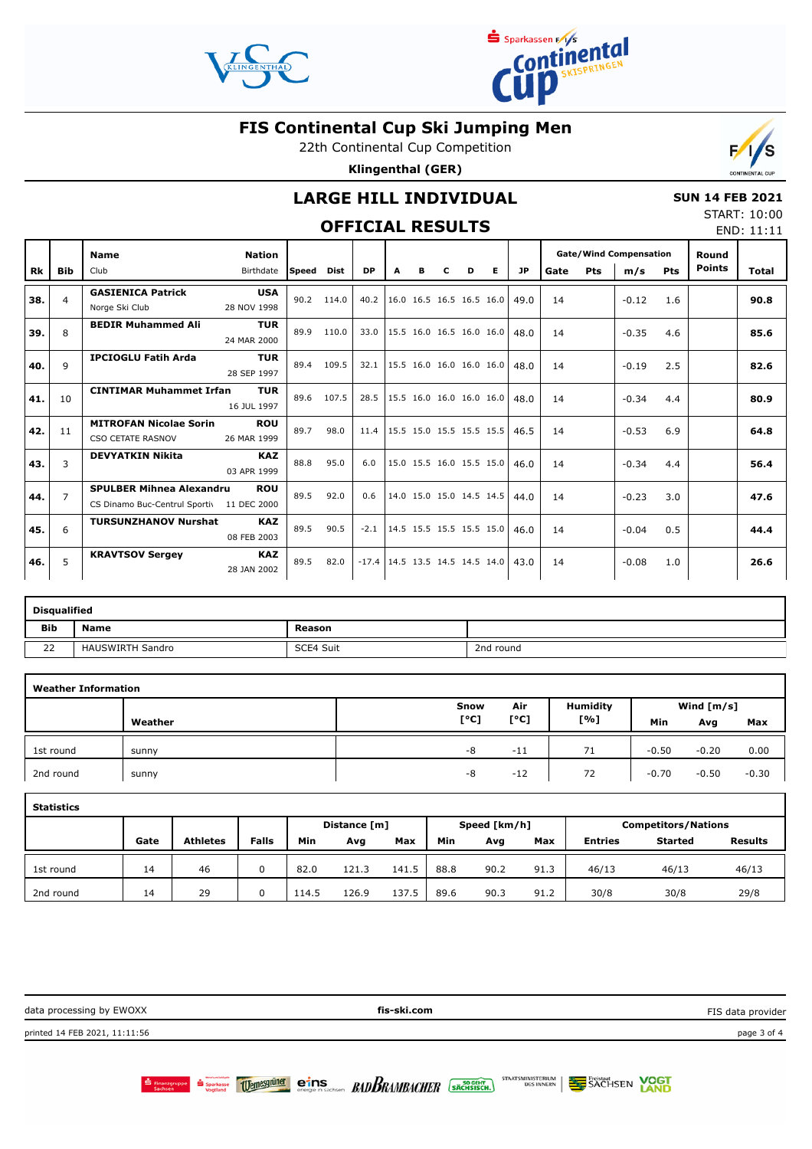



22th Continental Cup Competition

**Klingenthal (GER)**



## **OFFICIAL RESULTS**

 **SUN 14 FEB 2021** START: 10:00 END: 11:11

 $F/1/S$ 

| <b>Rk</b> | <b>Bib</b>     | <b>Name</b><br>Club                                                          | <b>Nation</b><br>Birthdate | Speed | Dist  | <b>DP</b>                          | A                                    | в | c | D | E.                       | <b>JP</b> |    | <b>Gate/Wind Compensation</b><br>Pts<br>m/s<br><b>Pts</b><br>Gate |         | Round<br><b>Points</b> | <b>Total</b> |      |
|-----------|----------------|------------------------------------------------------------------------------|----------------------------|-------|-------|------------------------------------|--------------------------------------|---|---|---|--------------------------|-----------|----|-------------------------------------------------------------------|---------|------------------------|--------------|------|
|           |                |                                                                              |                            |       |       |                                    |                                      |   |   |   |                          |           |    |                                                                   |         |                        |              |      |
| 38.       | 4              | <b>GASIENICA Patrick</b><br>Norge Ski Club                                   | <b>USA</b><br>28 NOV 1998  | 90.2  | 114.0 | 40.2                               |                                      |   |   |   | 16.0 16.5 16.5 16.5 16.0 | 49.0      | 14 |                                                                   | $-0.12$ | 1.6                    |              | 90.8 |
| 39.       | 8              | <b>BEDIR Muhammed Ali</b>                                                    | <b>TUR</b><br>24 MAR 2000  | 89.9  | 110.0 | 33.0                               |                                      |   |   |   | 15.5 16.0 16.5 16.0 16.0 | 48.0      | 14 |                                                                   | $-0.35$ | 4.6                    |              | 85.6 |
| 40.       | 9              | <b>IPCIOGLU Fatih Arda</b>                                                   | <b>TUR</b><br>28 SEP 1997  | 89.4  | 109.5 |                                    | 32.1 15.5 16.0 16.0 16.0 16.0        |   |   |   |                          | 48.0      | 14 |                                                                   | $-0.19$ | 2.5                    |              | 82.6 |
| 41.       | 10             | <b>CINTIMAR Muhammet Irfan</b>                                               | <b>TUR</b><br>16 JUL 1997  | 89.6  | 107.5 | 28.5                               | $ 15.5 \t16.0 \t16.0 \t16.0 \t16.0 $ |   |   |   |                          | 48.0      | 14 |                                                                   | $-0.34$ | 4.4                    |              | 80.9 |
| 42.       | 11             | <b>MITROFAN Nicolae Sorin</b><br><b>CSO CETATE RASNOV</b>                    | <b>ROU</b><br>26 MAR 1999  | 89.7  | 98.0  |                                    | 11.4   15.5 15.0 15.5 15.5 15.5      |   |   |   |                          | 46.5      | 14 |                                                                   | $-0.53$ | 6.9                    |              | 64.8 |
| 43.       | 3              | <b>DEVYATKIN Nikita</b>                                                      | <b>KAZ</b><br>03 APR 1999  | 88.8  | 95.0  | 6.0                                |                                      |   |   |   | 15.0 15.5 16.0 15.5 15.0 | 46.0      | 14 |                                                                   | $-0.34$ | 4.4                    |              | 56.4 |
| 44.       | $\overline{7}$ | <b>SPULBER Mihnea Alexandru</b><br>CS Dinamo Buc-Centrul Sportiv 11 DEC 2000 | <b>ROU</b>                 | 89.5  | 92.0  | 0.6                                |                                      |   |   |   | 14.0 15.0 15.0 14.5 14.5 | 44.0      | 14 |                                                                   | $-0.23$ | 3.0                    |              | 47.6 |
| 45.       | 6              | <b>TURSUNZHANOV Nurshat</b>                                                  | <b>KAZ</b><br>08 FEB 2003  | 89.5  | 90.5  | $-2.1$                             |                                      |   |   |   | 14.5 15.5 15.5 15.5 15.0 | 46.0      | 14 |                                                                   | $-0.04$ | 0.5                    |              | 44.4 |
| 46.       | 5              | <b>KRAVTSOV Sergey</b>                                                       | <b>KAZ</b><br>28 JAN 2002  | 89.5  | 82.0  | $-17.4$   14.5 13.5 14.5 14.5 14.0 |                                      |   |   |   |                          | 43.0      | 14 |                                                                   | $-0.08$ | 1.0                    |              | 26.6 |

|            | <b>Disqualified</b>     |           |           |  |  |  |  |  |  |  |  |
|------------|-------------------------|-----------|-----------|--|--|--|--|--|--|--|--|
| <b>Bib</b> | <b>Name</b>             | Reason    |           |  |  |  |  |  |  |  |  |
| 22         | <b>HAUSWIRTH Sandro</b> | SCE4 Suit | 2nd round |  |  |  |  |  |  |  |  |

| <b>Weather Information</b> |         |      |       |                 |              |         |         |  |  |
|----------------------------|---------|------|-------|-----------------|--------------|---------|---------|--|--|
|                            |         | Snow | Air   | <b>Humidity</b> | Wind $[m/s]$ |         |         |  |  |
|                            | Weather | [°C] | [°C]  | [%]             | Min          | Avg     | Max     |  |  |
| 1st round                  | sunny   | -8   | $-11$ | 71              | $-0.50$      | $-0.20$ | 0.00    |  |  |
| 2nd round                  | sunny   | -8   | $-12$ | 72              | $-0.70$      | $-0.50$ | $-0.30$ |  |  |

| <b>Statistics</b> |      |                 |       |       |              |       |                            |      |      |                |                |                |
|-------------------|------|-----------------|-------|-------|--------------|-------|----------------------------|------|------|----------------|----------------|----------------|
|                   |      | Distance [m]    |       |       | Speed [km/h] |       | <b>Competitors/Nations</b> |      |      |                |                |                |
|                   | Gate | <b>Athletes</b> | Falls | Min   | Avg          | Max   | Min                        | Avg  | Max  | <b>Entries</b> | <b>Started</b> | <b>Results</b> |
| 1st round         | 14   | 46              |       | 82.0  | 121.3        | 141.5 | 88.8                       | 90.2 | 91.3 | 46/13          | 46/13          | 46/13          |
| 2nd round         | 14   | 29              | 0     | 114.5 | 126.9        | 137.5 | 89.6                       | 90.3 | 91.2 | 30/8           | 30/8           | 29/8           |

data processing by EWOXX **fis-ski.com** printed 14 FEB 2021, 11:11:56 page 3 of 4 FIS data provider